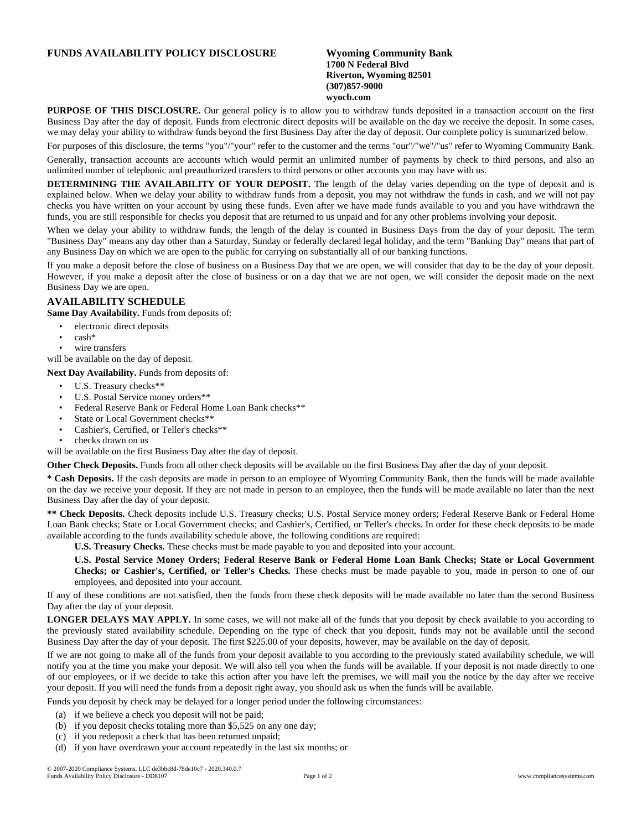## **FUNDS AVAILABILITY POLICY DISCLOSURE Wyoming Community Bank**

## **1700 N Federal Blvd Riverton, Wyoming 82501 (307)857-9000 wyocb.com**

**PURPOSE OF THIS DISCLOSURE.** Our general policy is to allow you to withdraw funds deposited in a transaction account on the first Business Day after the day of deposit. Funds from electronic direct deposits will be available on the day we receive the deposit. In some cases, we may delay your ability to withdraw funds beyond the first Business Day after the day of deposit. Our complete policy is summarized below.

For purposes of this disclosure, the terms "you"/"your" refer to the customer and the terms "our"/"we"/"us" refer to Wyoming Community Bank.

Generally, transaction accounts are accounts which would permit an unlimited number of payments by check to third persons, and also an unlimited number of telephonic and preauthorized transfers to third persons or other accounts you may have with us.

**DETERMINING THE AVAILABILITY OF YOUR DEPOSIT.** The length of the delay varies depending on the type of deposit and is explained below. When we delay your ability to withdraw funds from a deposit, you may not withdraw the funds in cash, and we will not pay checks you have written on your account by using these funds. Even after we have made funds available to you and you have withdrawn the funds, you are still responsible for checks you deposit that are returned to us unpaid and for any other problems involving your deposit.

When we delay your ability to withdraw funds, the length of the delay is counted in Business Days from the day of your deposit. The term "Business Day" means any day other than a Saturday, Sunday or federally declared legal holiday, and the term "Banking Day" means that part of any Business Day on which we are open to the public for carrying on substantially all of our banking functions.

If you make a deposit before the close of business on a Business Day that we are open, we will consider that day to be the day of your deposit. However, if you make a deposit after the close of business or on a day that we are not open, we will consider the deposit made on the next Business Day we are open.

## **AVAILABILITY SCHEDULE**

**Same Day Availability.** Funds from deposits of:

- electronic direct deposits
- cash\*
- wire transfers
- will be available on the day of deposit.

**Next Day Availability.** Funds from deposits of:

- U.S. Treasury checks\*\*
- U.S. Postal Service money orders\*\*
- Federal Reserve Bank or Federal Home Loan Bank checks\*\*
- State or Local Government checks\*\*
- Cashier's, Certified, or Teller's checks\*\*
- checks drawn on us

will be available on the first Business Day after the day of deposit.

**Other Check Deposits.** Funds from all other check deposits will be available on the first Business Day after the day of your deposit.

**\* Cash Deposits.** If the cash deposits are made in person to an employee of Wyoming Community Bank, then the funds will be made available on the day we receive your deposit. If they are not made in person to an employee, then the funds will be made available no later than the next Business Day after the day of your deposit.

**\*\* Check Deposits.** Check deposits include U.S. Treasury checks; U.S. Postal Service money orders; Federal Reserve Bank or Federal Home Loan Bank checks; State or Local Government checks; and Cashier's, Certified, or Teller's checks. In order for these check deposits to be made available according to the funds availability schedule above, the following conditions are required:

**U.S. Treasury Checks.** These checks must be made payable to you and deposited into your account.

U.S. Postal Service Money Orders; Federal Reserve Bank or Federal Home Loan Bank Checks; State or Local Government **Checks; or Cashier's, Certified, or Teller's Checks.** These checks must be made payable to you, made in person to one of our employees, and deposited into your account.

If any of these conditions are not satisfied, then the funds from these check deposits will be made available no later than the second Business Day after the day of your deposit.

**LONGER DELAYS MAY APPLY.** In some cases, we will not make all of the funds that you deposit by check available to you according to the previously stated availability schedule. Depending on the type of check that you deposit, funds may not be available until the second Business Day after the day of your deposit. The first \$225.00 of your deposits, however, may be available on the day of deposit.

If we are not going to make all of the funds from your deposit available to you according to the previously stated availability schedule, we will notify you at the time you make your deposit. We will also tell you when the funds will be available. If your deposit is not made directly to one of our employees, or if we decide to take this action after you have left the premises, we will mail you the notice by the day after we receive your deposit. If you will need the funds from a deposit right away, you should ask us when the funds will be available.

Funds you deposit by check may be delayed for a longer period under the following circumstances:

- (a) if we believe a check you deposit will not be paid;
- (b) if you deposit checks totaling more than \$5,525 on any one day;
- (c) if you redeposit a check that has been returned unpaid;
- (d) if you have overdrawn your account repeatedly in the last six months; or